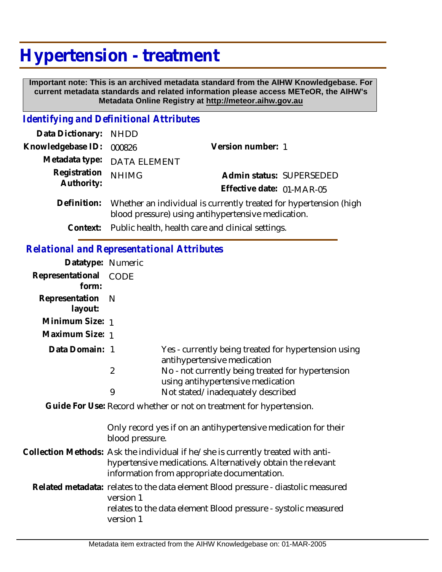## **Hypertension - treatment**

 **Important note: This is an archived metadata standard from the AIHW Knowledgebase. For current metadata standards and related information please access METeOR, the AIHW's Metadata Online Registry at http://meteor.aihw.gov.au**

## *Identifying and Definitional Attributes*

| Data Dictionary:                                  | <b>NHDD</b>                                                                                                             |                                                                                        |
|---------------------------------------------------|-------------------------------------------------------------------------------------------------------------------------|----------------------------------------------------------------------------------------|
| Knowledgebase ID:                                 | 000826                                                                                                                  | Version number: 1                                                                      |
| Metadata type:                                    | DATA ELEMENT                                                                                                            |                                                                                        |
| Registration<br>Authority:                        | <b>NHIMG</b>                                                                                                            | Admin status: SUPERSEDED<br>Effective date: 01-MAR-05                                  |
| Definition:                                       | Whether an individual is currently treated for hypertension (high<br>blood pressure) using antihypertensive medication. |                                                                                        |
| Context:                                          |                                                                                                                         | Public health, health care and clinical settings.                                      |
| <b>Relational and Representational Attributes</b> |                                                                                                                         |                                                                                        |
| Datatype: Numeric                                 |                                                                                                                         |                                                                                        |
| Representational<br>form:                         | <b>CODE</b>                                                                                                             |                                                                                        |
| Representation<br>layout:                         | $\mathbb N$                                                                                                             |                                                                                        |
| Minimum Size: 1                                   |                                                                                                                         |                                                                                        |
| Maximum Size: 1                                   |                                                                                                                         |                                                                                        |
| Data Domain: 1                                    |                                                                                                                         | Yes - currently being treated for hypertension using<br>antihypertensive medication    |
|                                                   | $\overline{2}$                                                                                                          | No - not currently being treated for hypertension<br>using antihypertensive medication |
|                                                   | 9                                                                                                                       | Not stated/inadequately described                                                      |
|                                                   |                                                                                                                         | adala Faaddaa I Roosed - John oo deegaan dahaa ah Adalah dahaa dah                     |

Guide For Use: Record whether or not on treatment for hypertension.

Only record yes if on an antihypertensive medication for their blood pressure.

- Collection Methods: Ask the individual if he/she is currently treated with antihypertensive medications. Alternatively obtain the relevant information from appropriate documentation.
	- Related metadata: relates to the data element Blood pressure diastolic measured version 1 relates to the data element Blood pressure - systolic measured version 1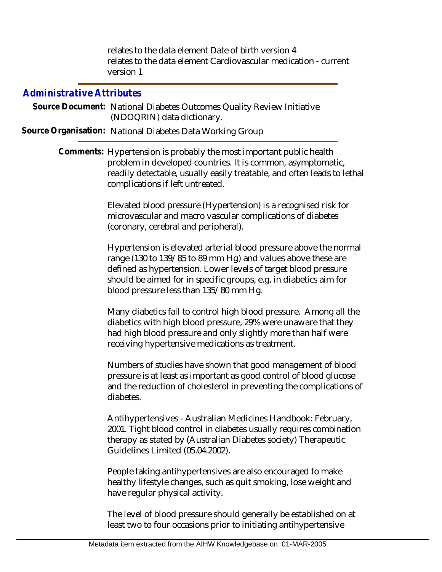relates to the data element Date of birth version 4 relates to the data element Cardiovascular medication - current version 1

## *Administrative Attributes*

Source Document: National Diabetes Outcomes Quality Review Initiative (NDOQRIN) data dictionary.

**Source Organisation:** National Diabetes Data Working Group

Comments: Hypertension is probably the most important public health problem in developed countries. It is common, asymptomatic, readily detectable, usually easily treatable, and often leads to lethal complications if left untreated.

> Elevated blood pressure (Hypertension) is a recognised risk for microvascular and macro vascular complications of diabetes (coronary, cerebral and peripheral).

Hypertension is elevated arterial blood pressure above the normal range (130 to 139/85 to 89 mm Hg) and values above these are defined as hypertension. Lower levels of target blood pressure should be aimed for in specific groups, e.g. in diabetics aim for blood pressure less than 135/80 mm Hg.

Many diabetics fail to control high blood pressure. Among all the diabetics with high blood pressure, 29% were unaware that they had high blood pressure and only slightly more than half were receiving hypertensive medications as treatment.

Numbers of studies have shown that good management of blood pressure is at least as important as good control of blood glucose and the reduction of cholesterol in preventing the complications of diabetes.

Antihypertensives - Australian Medicines Handbook: February, 2001. Tight blood control in diabetes usually requires combination therapy as stated by (Australian Diabetes society) Therapeutic Guidelines Limited (05.04.2002).

People taking antihypertensives are also encouraged to make healthy lifestyle changes, such as quit smoking, lose weight and have regular physical activity.

The level of blood pressure should generally be established on at least two to four occasions prior to initiating antihypertensive